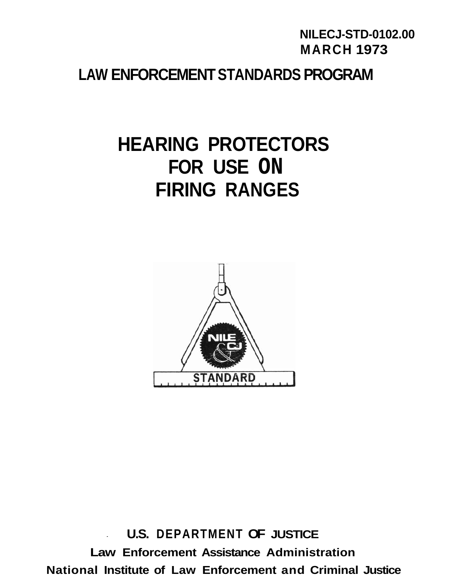# **NILECJ-STD-0102.00 MARCH 1973**

# **LAW ENFORCEMENT STANDARDS PROGRAM**

# **HEARING PROTECTORS FOR USE ON FIRING RANGES**



**U.S. DEPARTMENT OF JUSTICE Law Enforcement Assistance Administration National Institute of Law Enforcement and Criminal Justice**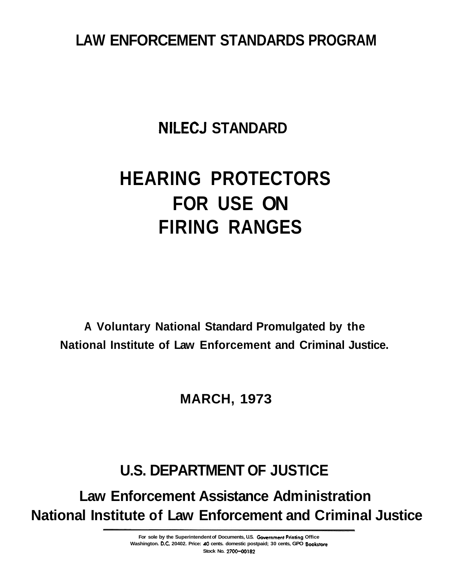# **LAW ENFORCEMENT STANDARDS PROGRAM**

# **NILECJ STANDARD**

# **HEARING PROTECTORS FOR USE ON FIRING RANGES**

**A Voluntary National Standard Promulgated by the National Institute of Law Enforcement and Criminal Justice.** 

**MARCH, 1973** 

# **U.S. DEPARTMENT OF JUSTICE**

**Law Enforcement Assistance Administration National Institute of Law Enforcement and Criminal Justice** 

> For sole by the Superintendent of Documents, U.S. Government Printing Office Washington. D.C. 20402. Price: 40 cents. domestic postpaid; 30 cents, GPO Bookstore **2700-00182 Stock No.**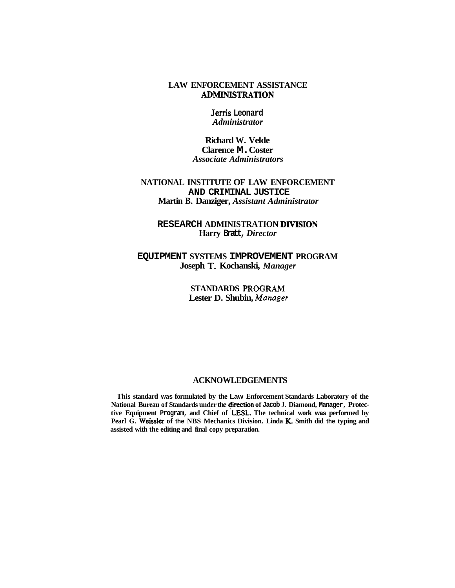#### **ADMLNISTRATION LAW ENFORCEMENT ASSISTANCE**

**Jerris Leonard** *Administrator* 

**Richard W. Velde Clarence M.Coster** *Associate Administrators* 

#### **NATIONAL INSTITUTE OF LAW ENFORCEMENT AND CRIMINAL JUSTICE Martin B. Danziger,** *Assistant Administrator*

#### **DIVISION RESEARCH ADMINISTRATION Harry Bratt,***Director*

## Joseph T. Kochanski, Manager **EQUIPMENT SYSTEMS IMPROVEMENT PROGRAM**

**PROGRAM STANDARDS**  *Manager*  **Lester D. Shubin,** 

#### **ACKNOWLEDGEMENTS**

National Bureau of Standards under the direction of Jacob J. Diamond, Manager, Protective Equipment Program, and Chief of LESL. The technical work was performed by Pearl G. Weissler of the NBS Mechanics Division. Linda K. Smith did the typing and **This standard was formulated by the Law Enforcement Standards Laboratory of the assisted with the editing and final copy preparation.**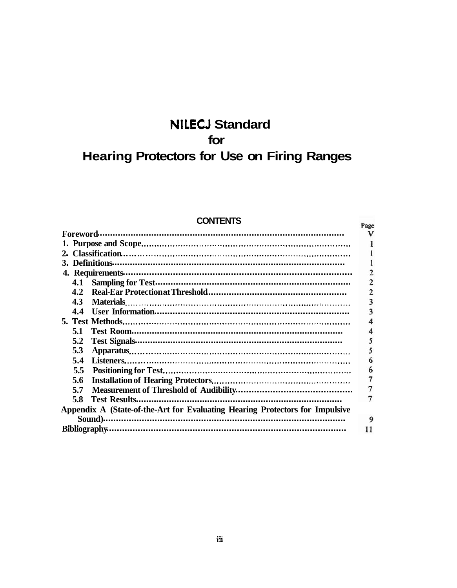# **NILECJ Standard** for **Hearing Protectors for Use on Firing Ranges**

| <b>CONTENTS</b> |  |  |
|-----------------|--|--|
|                 |  |  |

| <b>UUNIENIJ</b>                                                              |   |  |
|------------------------------------------------------------------------------|---|--|
| Foreword                                                                     |   |  |
|                                                                              |   |  |
|                                                                              |   |  |
| 3. Definitions                                                               |   |  |
|                                                                              |   |  |
| 4.1                                                                          |   |  |
| 4.2                                                                          |   |  |
| 4.3                                                                          |   |  |
| 4.4                                                                          |   |  |
|                                                                              |   |  |
| 5.1                                                                          |   |  |
| 5.2                                                                          |   |  |
| 5.3                                                                          |   |  |
| 5.4                                                                          |   |  |
| 5.5                                                                          |   |  |
| 5.6                                                                          |   |  |
| 5.7                                                                          |   |  |
| 5.8                                                                          |   |  |
| Appendix A (State-of-the-Art for Evaluating Hearing Protectors for Impulsive |   |  |
| Sound).                                                                      | 9 |  |
| <b>Bibliography</b>                                                          |   |  |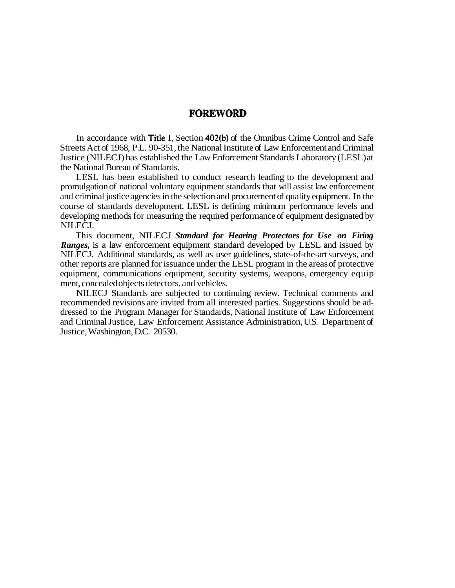## **FOREWORD**

In accordance with Title I, Section 402(b) of the Omnibus Crime Control and Safe Streets Act of 1968, P.L. 90-351, the National Institute of Law Enforcement and Criminal Justice (NILECJ) has established the Law Enforcement Standards Laboratory (LESL)at the National Bureau of Standards.

LESL has been established to conduct research leading to the development and promulgation of national voluntary equipment standards that will assist law enforcement and criminal justice agencies in the selection and procurement of quality equipment. In the course of standards development, LESL is defining minimum performance levels and developing methods for measuring the required performance of equipment designated by NILECJ.

This document, NILECJ *Standard for Hearing Protectors for Use on Firing Ranges,* is a law enforcement equipment standard developed by LESL and issued by NILECJ. Additional standards, as well as user guidelines, state-of-the-art surveys, and other reports are planned for issuance under the LESL program in the areas of protective equipment, communications equipment, security systems, weapons, emergency equip ment, concealed objects detectors, and vehicles.

NILECJ Standards are subjected to continuing review. Technical comments and recommended revisions are invited from all interested parties. Suggestions should be addressed to the Program Manager for Standards, National Institute of Law Enforcement and Criminal Justice, Law Enforcement Assistance Administration, U.S. Department of Justice, Washington, D.C. 20530.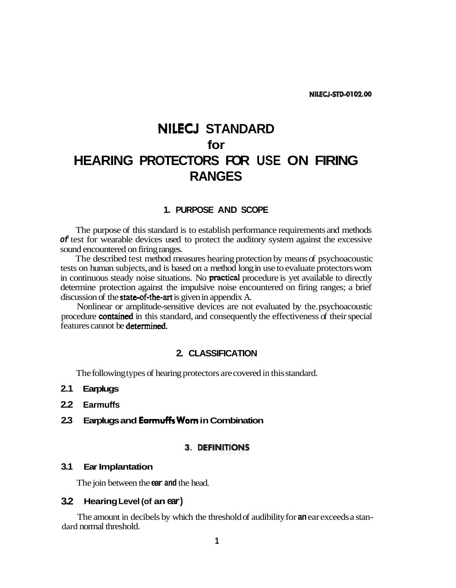# **NILECJ STANDARD for HEARING PROTECTORS FOR USE ON FIRING RANGES**

#### **1. PURPOSE AND SCOPE**

The purpose of this standard is to establish performance requirements and methods **of** test for wearable devices used to protect the auditory system against the excessive sound encountered on firing ranges.

in continuous steady noise situations. No **practical** procedure is yet available to directly discussion of the state-of-the-art is given in appendix A. The described test method measures hearing protection by means of psychoacoustic tests on human subjects, and is based on a method long in use to evaluate protectors worn determine protection against the impulsive noise encountered on firing ranges; a brief

procedure contained in this standard, and consequently the effectiveness of their special features cannot be determined. Nonlinear or amplitude-sensitive devices are not evaluated by the.psychoacoustic

#### **2. CLASSIFICATION**

The following types of hearing protectors are covered in this standard.

- **2.1 Earplugs**
- **2.2 Earmuffs**
- 2.3 Earplugs and **Earmuffs Worn** in Combination

#### **3. DEFINITIONS**

#### **3.1 Ear Implantation**

The join between the **ear and** the head.

#### **3.2 HearingLevel (of an ear)**

The amount in decibels by which the threshold of audibility for **an** ear exceeds a standard normal threshold.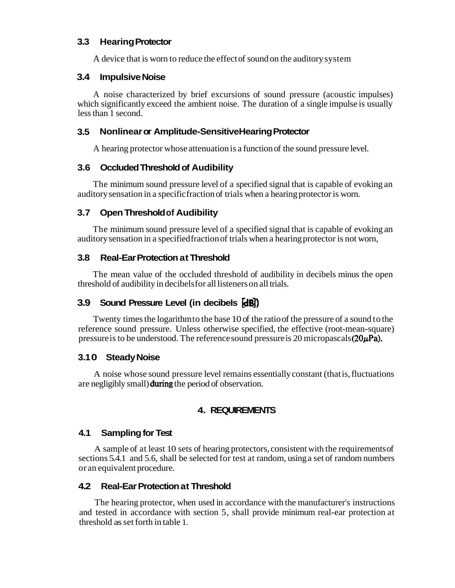# **3.3 Hearing Protector**

A device that is worn to reduce the effect of sound on the auditory system

# **3.4 Impulsive Noise**

A noise characterized by brief excursions of sound pressure (acoustic impulses) which significantly exceed the ambient noise. The duration of a single impulse is usually less than 1 second.

# **3.5 Nonlinear or Amplitude-Sensitive Hearing Protector**

A hearing protector whose attenuation is a function of the sound pressure level.

# **3.6 Occluded Threshold of Audibility**

The minimum sound pressure level of a specified signal that is capable of evoking an auditory sensation in a specific fraction of trials when a hearing protector is worn.

# **3.7 Open Threshold of Audibility**

The minimum sound pressure level of a specified signal that is capable of evoking an auditory sensation in a specified fraction of trials when a hearing protector is not worn,

# **3.8 Real-Ear Protection at Threshold**

The mean value of the occluded threshold of audibility in decibels minus the open threshold of audibility in decibels for all listeners on all trials.

# **Ha) 3.9 Sound Pressure Level (in decibels**

pressure is to be understood. The reference sound pressure is 20 micropascals  $(20\mu\text{Pa})$ . Twenty times the logarithm to the base 10 of the ratio of the pressure of a sound to the reference sound pressure. Unless otherwise specified, the effective (root-mean-square)

# **3.10 Steady Noise**

are negligibly small) during the period of observation. A noise whose sound pressure level remains essentially constant (that is, fluctuations

# **4. REQUIREMENTS**

# **4.1 Sampling for Test**

A sample of at least 10 sets of hearing protectors, consistent with the requirements of sections 5.4.1 and 5.6, shall be selected for test at random, using a set of random numbers or an equivalent procedure.

# **4.2 Real-Ear Protection at Threshold**

The hearing protector, when used in accordance with the manufacturer's instructions and tested in accordance with section 5, shall provide minimum real-ear protection at threshold as set forth in table 1.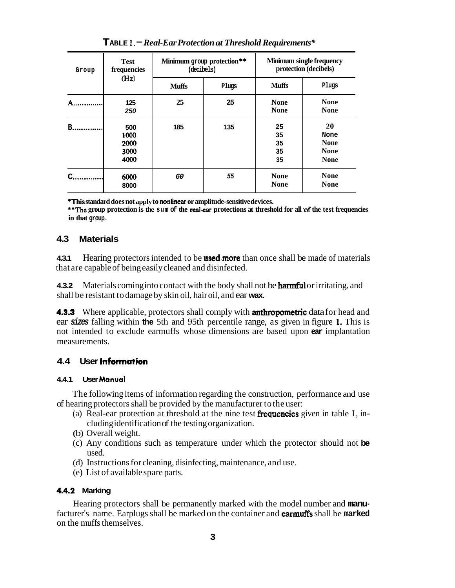| <b>Test</b><br>frequencies<br>Group<br>(Hz) |                                     | Minimum group protection**<br>(decibels) |       | <b>Minimum single frequency</b><br>protection (decibels) |                                                         |
|---------------------------------------------|-------------------------------------|------------------------------------------|-------|----------------------------------------------------------|---------------------------------------------------------|
|                                             |                                     | <b>Muffs</b>                             | Plugs | <b>Muffs</b>                                             | Plugs                                                   |
| A                                           | 125<br>250                          | 25                                       | 25    | <b>None</b><br><b>None</b>                               | <b>None</b><br><b>None</b>                              |
| в.,                                         | 500<br>1000<br>2000<br>3000<br>4000 | 185                                      | 135   | 25<br>35<br>35<br>35<br>35                               | 20<br>None<br><b>None</b><br><b>None</b><br><b>None</b> |
|                                             | 6000<br>8000                        | 60                                       | 55    | <b>None</b><br><b>None</b>                               | <b>None</b><br><b>None</b>                              |

**I. TABLE** -*Real-Ear Protection at Threshold Requirements\** 

**\*This standard does not apply to nonlinear or amplitude-sensitive devices.** 

**\*\*The group protection is the sum of the real-ear protections at threshold for all of the test frequencies in that group.** 

#### **4.3 Materials**

**4.3.1** Hearing protectors intended to be **used more** than once shall be made of materials that are capable of being easily cleaned and disinfected.

4.3.2 Materials coming into contact with the body shall not be **harmful** or irritating, and shall be resistant to damage by skin oil, hair oil, and ear **wax.** 

4.3.3 Where applicable, protectors shall comply with **anthropometric** datafor head and ear sizes falling within the 5th and 95th percentile range, as given in figure 1. This is not intended to exclude earmuffs whose dimensions are based upon **ear** implantation measurements.

# **Information 4.4 User**

#### **Manuol 4.4.1 User**

The following items of information regarding the construction, performance and use of hearing protectors shall be provided by the manufacturer to the user:

- (a) Real-ear protection at threshold at the nine test **frequencies** given in table I, including identification of the testing organization.
- (b) Overall weight.
- (c) Any conditions such as temperature under which the protector should not **be**  used.
- (d) Instructions for cleaning, disinfecting, maintenance, and use.
- (e) List of available spare parts.

#### **4.4.2 Marking**

facturer's name. Earplugs shall be marked on the container and **earmuffs** shall be marked Hearing protectors shall be permanently marked with the model number and **manu**on the muffs themselves.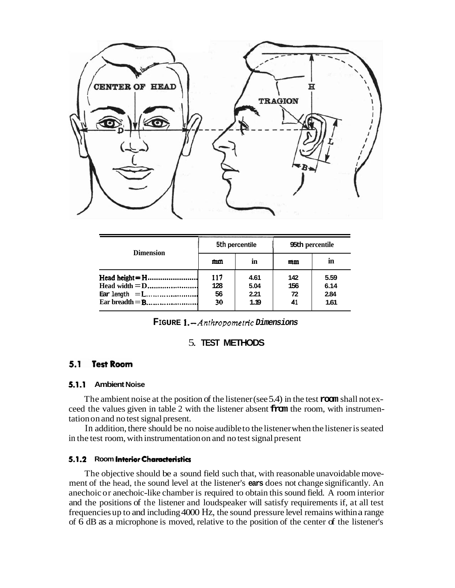

| <b>Dimension</b>          | 95th percentile<br>5th percentile |                              |                        |                              |
|---------------------------|-----------------------------------|------------------------------|------------------------|------------------------------|
|                           | mm                                | in                           | mm                     | in                           |
| $\text{Ear length} =$ $L$ | 117<br>128<br>56<br>30            | 4.61<br>5.04<br>2.21<br>1.19 | 142<br>156<br>72<br>41 | 5.59<br>6.14<br>2.84<br>1.61 |

1. *-Anthropometric*  **FIGURE Dimensions** 

#### 5. **TEST METHODS**

#### 5.1 **Test Room**

#### **5.1.1 Ambient Noise**

The ambient noise at the position of the listener (see 5.4) in the test **room** shall not exceed the values given in table 2 with the listener absent **from** the room, with instrumentation on and no test signal present.

In addition, there should be no noise audible to the listener when the listener is seated in the test room, with instrumentation on and no test signal present

#### **5.1.2** Room Interior Characteristics

The objective should be a sound field such that, with reasonable unavoidable movement of the head, the sound level at the listener's **ears** does not change significantly. An anechoic or anechoic-like chamber is required to obtain this sound field. A room interior and the positions of the listener and loudspeaker will satisfy requirements if, at all test frequencies up to and including4000 Hz, the sound pressure level remains within a range of 6 dB as a microphone is moved, relative to the position of the center of the listener's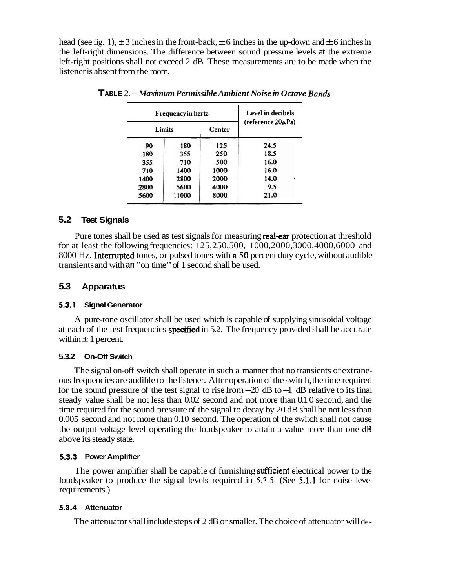head (see fig. 1),  $\pm$  3 inches in the front-back,  $\pm$  6 inches in the up-down and  $\pm$  6 inches in the left-right dimensions. The difference between sound pressure levels at the extreme left-right positions shall not exceed 2 dB. These measurements are to be made when the listener is absent from the room.

| <b>Frequencyin hertz</b> |       | Level in decibels |                        |  |  |
|--------------------------|-------|-------------------|------------------------|--|--|
| Limits                   |       | <b>Center</b>     | (reference $20\mu$ Pa) |  |  |
| 90                       | 180   | 125               | 24.5                   |  |  |
| 180                      | 355   | 250               | 18.5                   |  |  |
| 355                      | 710   | 500               | 16.0                   |  |  |
| 710                      | 1400  | 1000              | 16.0                   |  |  |
| 1400                     | 2800  | 2000              | 14.0<br>٠              |  |  |
| 2800                     | 5600  | 4000              | 9.5                    |  |  |
| 5600                     | 11000 | 8000              | 21.0                   |  |  |

*Ban&*  **TABLE** 2.-*Maximum Permissible Ambient Noise in Octave* 

#### **5.2 Test Signals**

Pure tones shall be used as test signals for measuring real-ear protection at threshold 8000 Hz. Interrupted tones, or pulsed tones with a 50 percent duty cycle, without audible for at least the following frequencies: 125,250,500, 1000,2000,3000,4000,6000 and transients and with **an**"on time"of 1 second shall be used.

#### **5.3 Apparatus**

#### **5.3.1 Signal Generator**

at each of the test frequencies specified in 5.2. The frequency provided shall be accurate within  $\pm 1$  percent. A pure-tone oscillator shall be used which is capable of supplying sinusoidal voltage

#### **5.3.2 On-Off Switch**

the output voltage level operating the loudspeaker to attain a value more than one dB The signal on-off switch shall operate in such a manner that no transients or extraneous frequencies are audible to the listener. After operation of the switch, the time required for the sound pressure of the test signal to rise from  $-20$  dB to  $-1$  dB relative to its final steady value shall be not less than 0.02 second and not more than 0.1 0 second, and the time required for the sound pressure of the signal to decay by 20 dB shall be not less than 0.005 second and not more than 0.10 second. The operation of the switch shall not cause above its steady state.

#### **5.3.3 Power Amplifier**

The power amplifier shall be capable of furnishing sufficient electrical power to the loudspeaker to produce the signal levels required in 5.3.5. (See 5.1.1 for noise level requirements.)

#### **5.3.4 Attenuator**

The attenuator shall include steps of 2 dB or smaller. The choice of attenuator will de-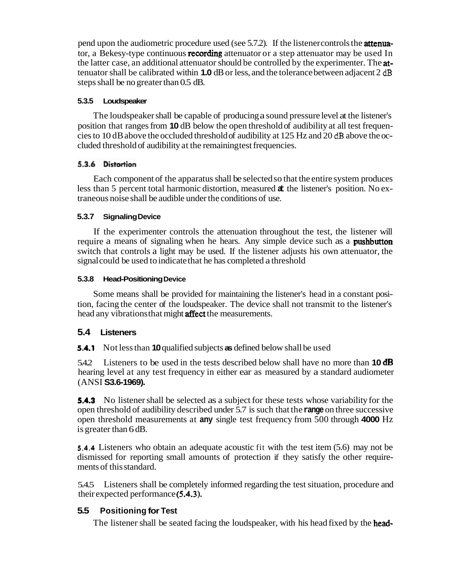pend upon the audiometric procedure used (see 5.7.2). If the listener controls the **attenua**tor, a Bekesy-type continuous **recording** attenuator or a step attenuator may be used In the latter case, an additional attenuator should be controlled by the experimenter. The **atdB**  tenuator shall be calibrated within **1.0** dB or less, and the tolerance between adjacent 2 steps shall be no greater than 0.5 dB.

#### **5.3.5 Loudspeaker**

cies to 10 dB above the occluded threshold of audibility at 125 Hz and 20 dB above the oc-The loudspeaker shall be capable of producing a sound pressure level at the listener's position that ranges from **10** dB below the open threshold of audibility at all test frequencluded threshold of audibility at the remaining test frequencies.

## 5.3.6 Distortion

Each component of the apparatus shall be selected so that the entire system produces less than 5 percent total harmonic distortion, measured **at** the listener's position. No extraneous noise shall be audible under the conditions of use.

#### **5.3.7 SignalingDevice**

require a means of signaling when he hears. Any simple device such as a pushbutton If the experimenter controls the attenuation throughout the test, the listener will switch that controls a light may be used. If the listener adjusts his own attenuator, the signal could be used to indicate that he has completed a threshold

#### **5.3.8 Head-PositioningDevice**

head any vibrations that might **affect** the measurements. Some means shall be provided for maintaining the listener's head in a constant position, facing the center of the loudspeaker. The device shall not transmit to the listener's

# **5.4 Listeners**

**5.4.1**  Not less than **10** qualified subjects **as** defined below shall be used

5.4.2 Listeners to be used in the tests described below shall have no more than **10 dB** hearing level at any test frequency in either ear as measured by a standard audiometer (ANSI **S3.6-1969).** 

**5.4.3** No listener shall be selected as a subject for these tests whose variability for the open threshold of audibility described under 5.7 is such that the **range**on three successive open threshold measurements at **any** single test frequency from 500 through **4000** Hz is greater than 6 dB.

**5.4.4**  Listeners who obtain an adequate acoustic fit with the test item (5.6) may not be dismissed for reporting small amounts of protection if they satisfy the other requirements of this standard.

their expected performance (5.4.3). 5.4.5 Listeners shall be completely informed regarding the test situation, procedure and

# **5.5 Positioning for Test**

The listener shall be seated facing the loudspeaker, with his head fixed by the head-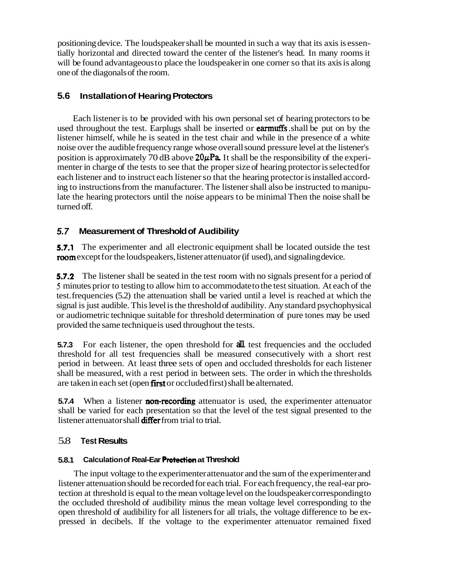positioning device. The loudspeaker shall be mounted in such a way that its axis is essentially horizontal and directed toward the center of the listener's head. In many rooms it will be found advantageous to place the loudspeaker in one corner so that its axis is along one of the diagonals of the room.

## **5.6 Installation of Hearing Protectors**

used throughout the test. Earplugs shall be inserted or **earmuffs** shall be put on by the position is approximately 70 dB above  $20\mu\text{Pa}$ . It shall be the responsibility of the experi-Each listener is to be provided with his own personal set of hearing protectors to be listener himself, while he is seated in the test chair and while in the presence of a white noise over the audible frequency range whose overall sound pressure level at the listener's menter in charge of the tests to see that the proper size of hearing protector is selected for each listener and to instruct each listener so that the hearing protector is installed according to instructions from the manufacturer. The listener shall also be instructed to manipulate the hearing protectors until the noise appears to be minimal Then the noise shall be turned off.

## **5.7 Measurement of Threshold of Audibility**

**5.7.1** The experimenter and all electronic equipment shall be located outside the test room except for the loudspeakers, listener attenuator (if used), and signaling device.

**5.7.2** The listener shall be seated in the test room with no signals present for a period of **5**  minutes prior to testing to allow him to accommodate to the test situation. At each of the test. frequencies (5.2) the attenuation shall be varied until a level is reached at which the signal is just audible. This level is the threshold of audibility. Any standard psychophysical or audiometric technique suitable for threshold determination of pure tones may be used provided the same technique is used throughout the tests.

are taken in each set (open first or occluded first) shall be alternated. **5.7.3** For each listener, the open threshold for **all** test frequencies and the occluded threshold for all test frequencies shall be measured consecutively with a short rest period in between. At least three sets of open and occluded thresholds for each listener shall be measured, with a rest period in between sets. The order in which the thresholds

**5.7.4** When a listener **non-recording** attenuator is used, the experimenter attenuator listener attenuator shall **differ** from trial to trial. shall be varied for each presentation so that the level of the test signal presented to the

#### 5.8 **Test Results**

## 5.8.1 Calculation of Real-Ear **Protection** at Threshold

The input voltage to the experimenter attenuator and the sum of the experimenter and listener attenuation should be recorded for each trial. For each frequency, the real-ear protection at threshold is equal to the mean voltage level on the loudspeaker corresponding to the occluded threshold of audibility minus the mean voltage level corresponding to the open threshold of audibility for all listeners for all trials, the voltage difference to be expressed in decibels. If the voltage to the experimenter attenuator remained fixed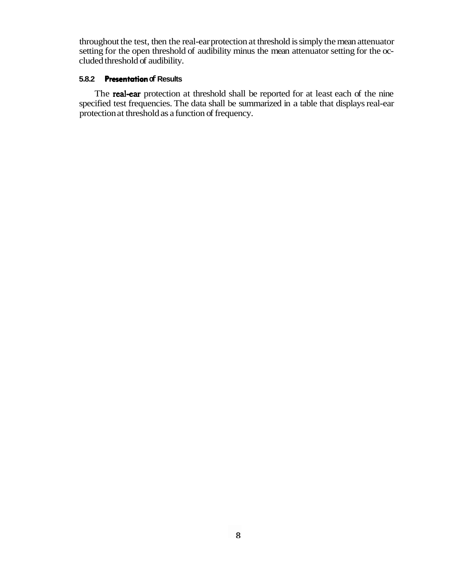throughout the test, then the real-ear protection at threshold is simply the mean attenuator setting for the open threshold of audibility minus the mean attenuator setting for the occluded threshold of audibility.

#### **Presentation 5.8.2 of Results**

The **real-ear** protection at threshold shall be reported for at least each of the nine specified test frequencies. The data shall be summarized in a table that displays real-ear protection at threshold as a function of frequency.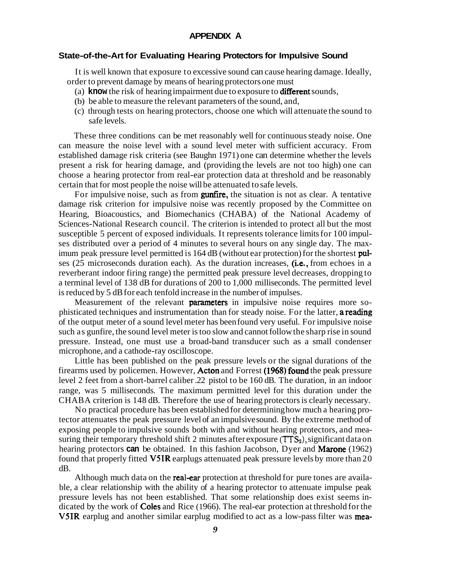#### **APPENDIX A**

#### **State-of-the-Art for Evaluating Hearing Protectors for Impulsive Sound**

It is well known that exposure to excessive sound can cause hearing damage. Ideally, order to prevent damage by means of hearing protectors one must

- (a) know the risk of hearing impairment due to exposure to **different** sounds,
- (b) be able to measure the relevant parameters of the sound, and,
- (c) through tests on hearing protectors, choose one which will attenuate the sound to safe levels.

These three conditions can be met reasonably well for continuous steady noise. One can measure the noise level with a sound level meter with sufficient accuracy. From established damage risk criteria (see Baughn 1971) one can determine whether the levels present a risk for hearing damage, and (providing the levels are not too high) one can choose a hearing protector from real-ear protection data at threshold and be reasonably certain that for most people the noise will be attenuated to safe levels.

For impulsive noise, such as from **gunfire**, the situation is not as clear. A tentative imum peak pressure level permitted is 164 dB (without ear protection) for the shortest pulses (25 microseconds duration each). As the duration increases, (i.e., from echoes in a damage risk criterion for impulsive noise was recently proposed by the Committee on Hearing, Bioacoustics, and Biomechanics (CHABA) of the National Academy of Sciences-National Research council. The criterion is intended to protect all but the most susceptible 5 percent of exposed individuals. It represents tolerance limits for 100 impulses distributed over a period of 4 minutes to several hours on any single day. The maxreverberant indoor firing range) the permitted peak pressure level decreases, dropping to a terminal level of 138 dB for durations of 200 to 1,000 milliseconds. The permitted level is reduced by 5 dB for each tenfold increase in the number of impulses.

Measurement of the relevant **parameters** in impulsive noise requires more sophisticated techniques and instrumentation than for steady noise. For the latter, a reading of the output meter of a sound level meter has been found very useful. For impulsive noise such as gunfire, the sound level meter is too slow and cannot follow the sharp rise in sound pressure. Instead, one must use a broad-band transducer such as a small condenser microphone, and a cathode-ray oscilloscope.

firearms used by policemen. However, Acton and Forrest (1968) found the peak pressure Little has been published on the peak pressure levels or the signal durations of the level 2 feet from a short-barrel caliber .22 pistol to be 160 dB. The duration, in an indoor range, was 5 milliseconds. The maximum permitted level for this duration under the CHABA criterion is 148 dB. Therefore the use of hearing protectors is clearly necessary.

suring their temporary threshold shift 2 minutes after exposure (TTS<sub>2</sub>), significant data on hearing protectors can be obtained. In this fashion Jacobson, Dyer and Marone (1962) found that properly fitted  $V5IR$  earplugs attenuated peak pressure levels by more than 20 No practical procedure has been established for determining how much a hearing protector attenuates the peak pressure level of an impulsive sound. By the extreme method of exposing people to impulsive sounds both with and without hearing protectors, and meadB.

Although much data on the real-ear protection at threshold for pure tones are availadicated by the work of Coles and Rice (1966). The real-ear protection at threshold for the V5IR earplug and another similar earplug modified to act as a low-pass filter was meable, a clear relationship with the ability of a hearing protector to attenuate impulse peak pressure levels has not been established. That some relationship does exist seems in-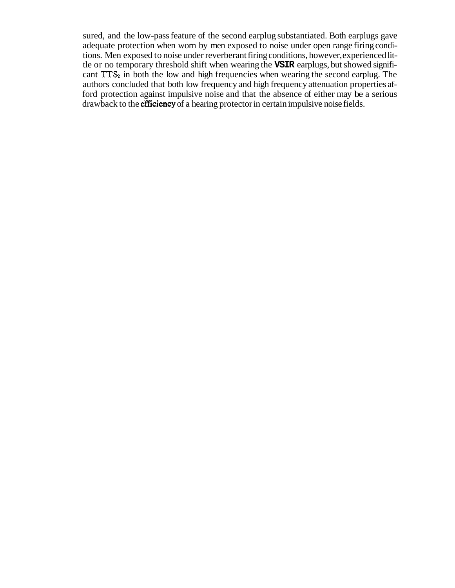cant  $TTS<sub>2</sub>$  in both the low and high frequencies when wearing the second earplug. The drawback to the **efficiency** of a hearing protector in certain impulsive noise fields. sured, and the low-pass feature of the second earplug substantiated. Both earplugs gave adequate protection when worn by men exposed to noise under open range firing conditions. Men exposed to noise under reverberant firing conditions, however, experienced little or no temporary threshold shift when wearing the **VSIR** earplugs, but showed signifiauthors concluded that both low frequency and high frequency attenuation properties afford protection against impulsive noise and that the absence of either may be a serious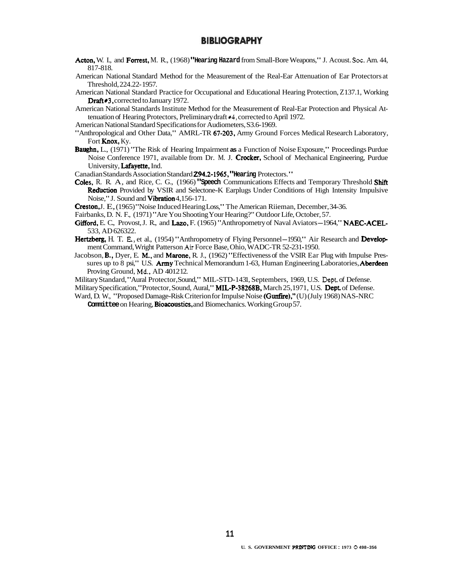#### **BIBLIOGRAPHY**

- Acton, W. I., and Forrest, M. R., (1968) "Hearing Hazard from Small-Bore Weapons," J. Acoust. Soc. Am. 44, 817-818.
- American National Standard Method for the Measurement of the Real-Ear Attenuation of Ear Protectors at Threshold, 224.22-1957.
- Draft#3, corrected to January 1972. American National Standard Practice for Occupational and Educational Hearing Protection, Z137.1, Working
- tenuation of Hearing Protectors, Preliminary draft \*4, corrected to April 1972. American National Standards Institute Method for the Measurement of Real-Ear Protection and Physical At-

American National Standard Specifications for Audiometers, S3.6-1969.

- Machetan National Standard Specifications for Fideometers, 25.6 1969. Fort **Knox**, Ky.
- Baughn, L., (1971) "The Risk of Hearing Impairment **as** a Function of Noise Exposure," Proceedings Purdue Noise Conference 1971, available from Dr. M. J. Crocker, School of Mechanical Engineering, Purdue University, Lafayette, Ind.
- **Canadian Standards Association Standard <b>294.2-1965**, "Hearing Protectors."
- Coles, R. R. A, and Rice, C. G., (1966) "Speech Communications Effects and Temporary Threshold Shift Reduction Provided by VSIR and Selectone-K Earplugs Under Conditions of High Intensity Impulsive Noise," J. Sound and  $\check{\text{V}}$ ibration 4,156-171.
- **Creston, J. E.** (1965) "Noise Induced Hearing Loss," The American Riieman, December, 34-36.
- Fairbanks, D. N. F., (1971) "Are You Shooting Your Hearing?" Outdoor Life, October, 57.
- Fairbanks, D. N. F., (1971) "Are You Shooting Your Hearing?" Outdoor Life, October, 57.<br>Gifford, E. C., Provost, J. R., and Lazo, F. (1965) "Anthropometry of Naval Aviators-1964," NAEC-ACEL-533, AD 626322.
- 533, AD 626322.<br> **Hertzberg,** H. T. E., et al., (1954) "Anthropometry of Flying Personnel-1950," Air Research and **Develop**ment Command, Wright Patterson Air Force Base, Ohio, WADC-TR 52-231 · 1950.
- B., B., Dyer, E. M., and Marone, R. J., (1962) "Effectiveness of the VSIR Ear Plug with Impulse Pressures up to 8 psi," U.S. Army Technical Memorandum 1-63, Human Engineering Laboratories, Aberdeen **Md,**  Proving Ground, AD 401212.
- Military Standard, "Aural Protector, Sound," MIL-STD-1431, Septembers, 1969, U.S. Dept. of Defense.
- Military Specification, "Protector, Sound, Aural," **MIL-P-38268B,** March 25,1971, U.S. Dept. of Defense.
- Ward, D. W., "Proposed Damage-Risk Criterion for Impulse Noise (Gunfire)," (U) (July 1968) NAS-NRC Committee on Hearing, Bioacoustics, and Biomechanics. Working Group 57.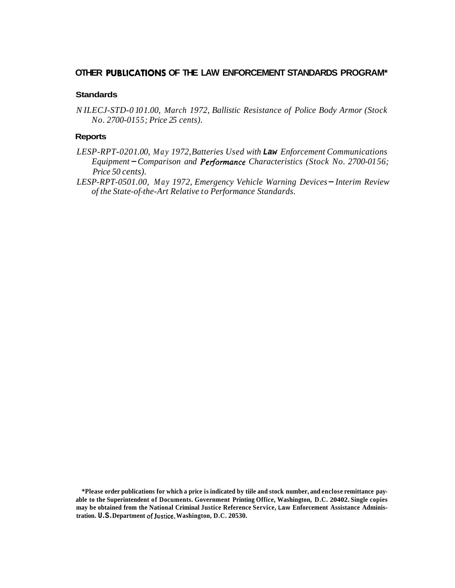## OTHER PUBLICATIONS OF THE LAW ENFORCEMENT STANDARDS PROGRAM\*

#### **Standards**

*N ILECJ-STD-0 10 1.00, March 1972, Ballistic Resistance of Police Body Armor (Stock No. 2700-0155; Price 25 cents).* 

#### **Reports**

- P-RPT-0201.00, May 1972,Batteries Used with **Law** Enforcement Communications<br>Equipment <del>–</del> Comparison and **Performance** Characteristics (Stock No. 2700-0156; *LESP-RPT-020 1.00, May 1972, Batteries Used with* **Law** *Enforcement Communications Price 50 cents).*
- *LESP-RPT-0501.00, May 1972, Emergency Vehicle Warning Devices-Interim Review of the State-of-the-Art Relative to Performance Standards.*

**tration. U.S.Department of Justice, Washington, D.C. 20530. \*Please order publications for which a price is indicated by tiile and stock number, and enclose remittance payable to the Superintendent of Documents. Government Printing Office, Washington, D.C. 20402. Single copies may be obtained from the National Criminal Justice Reference Service, Law Enforcement Assistance Adminis-**